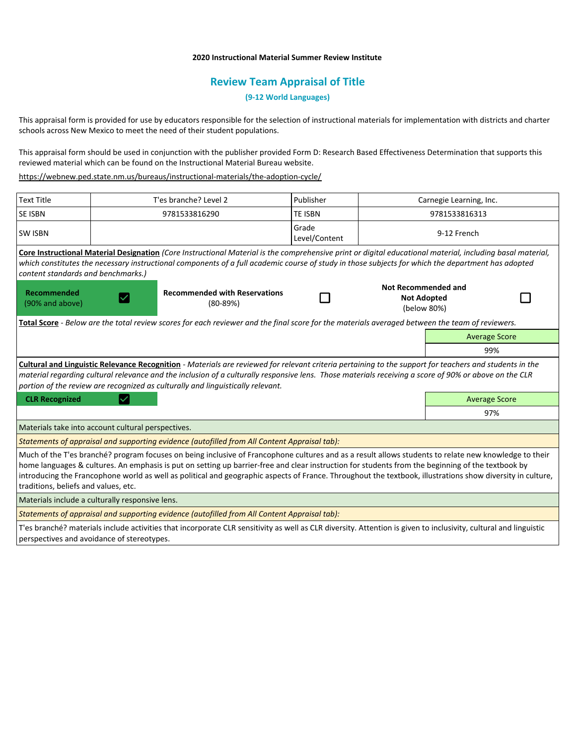## **2020 Instructional Material Summer Review Institute**

## **Review Team Appraisal of Title**

**(9-12 World Languages)**

This appraisal form is provided for use by educators responsible for the selection of instructional materials for implementation with districts and charter schools across New Mexico to meet the need of their student populations.

This appraisal form should be used in conjunction with the publisher provided Form D: Research Based Effectiveness Determination that supports this reviewed material which can be found on the Instructional Material Bureau website.

<https://webnew.ped.state.nm.us/bureaus/instructional-materials/the-adoption-cycle/>

| <b>Text Title</b>                                                                                                                               | T'es branche? Level 2                                                                                                                                                                                                                                                                                                                                                                                                                                                    | Publisher              | Carnegie Learning, Inc.                                         |                      |  |
|-------------------------------------------------------------------------------------------------------------------------------------------------|--------------------------------------------------------------------------------------------------------------------------------------------------------------------------------------------------------------------------------------------------------------------------------------------------------------------------------------------------------------------------------------------------------------------------------------------------------------------------|------------------------|-----------------------------------------------------------------|----------------------|--|
| <b>SE ISBN</b>                                                                                                                                  | 9781533816290                                                                                                                                                                                                                                                                                                                                                                                                                                                            | <b>TE ISBN</b>         | 9781533816313                                                   |                      |  |
| <b>SW ISBN</b>                                                                                                                                  |                                                                                                                                                                                                                                                                                                                                                                                                                                                                          | Grade<br>Level/Content | 9-12 French                                                     |                      |  |
| content standards and benchmarks.)                                                                                                              | Core Instructional Material Designation (Core Instructional Material is the comprehensive print or digital educational material, including basal material,<br>which constitutes the necessary instructional components of a full academic course of study in those subjects for which the department has adopted                                                                                                                                                         |                        |                                                                 |                      |  |
| Recommended<br>(90% and above)                                                                                                                  | <b>Recommended with Reservations</b><br>$(80-89%)$                                                                                                                                                                                                                                                                                                                                                                                                                       |                        | <b>Not Recommended and</b><br><b>Not Adopted</b><br>(below 80%) |                      |  |
| Total Score - Below are the total review scores for each reviewer and the final score for the materials averaged between the team of reviewers. |                                                                                                                                                                                                                                                                                                                                                                                                                                                                          |                        |                                                                 |                      |  |
|                                                                                                                                                 |                                                                                                                                                                                                                                                                                                                                                                                                                                                                          |                        |                                                                 | <b>Average Score</b> |  |
|                                                                                                                                                 |                                                                                                                                                                                                                                                                                                                                                                                                                                                                          |                        |                                                                 | 99%                  |  |
|                                                                                                                                                 | Cultural and Linguistic Relevance Recognition - Materials are reviewed for relevant criteria pertaining to the support for teachers and students in the<br>material regarding cultural relevance and the inclusion of a culturally responsive lens. Those materials receiving a score of 90% or above on the CLR<br>portion of the review are recognized as culturally and linguistically relevant.                                                                      |                        |                                                                 |                      |  |
| <b>CLR Recognized</b>                                                                                                                           |                                                                                                                                                                                                                                                                                                                                                                                                                                                                          |                        |                                                                 | <b>Average Score</b> |  |
|                                                                                                                                                 |                                                                                                                                                                                                                                                                                                                                                                                                                                                                          |                        |                                                                 | 97%                  |  |
| Materials take into account cultural perspectives.                                                                                              |                                                                                                                                                                                                                                                                                                                                                                                                                                                                          |                        |                                                                 |                      |  |
|                                                                                                                                                 | Statements of appraisal and supporting evidence (autofilled from All Content Appraisal tab):                                                                                                                                                                                                                                                                                                                                                                             |                        |                                                                 |                      |  |
| traditions, beliefs and values, etc.                                                                                                            | Much of the T'es branché? program focuses on being inclusive of Francophone cultures and as a result allows students to relate new knowledge to their<br>home languages & cultures. An emphasis is put on setting up barrier-free and clear instruction for students from the beginning of the textbook by<br>introducing the Francophone world as well as political and geographic aspects of France. Throughout the textbook, illustrations show diversity in culture, |                        |                                                                 |                      |  |
| Materials include a culturally responsive lens.                                                                                                 |                                                                                                                                                                                                                                                                                                                                                                                                                                                                          |                        |                                                                 |                      |  |
| Statements of appraisal and supporting evidence (autofilled from All Content Appraisal tab):                                                    |                                                                                                                                                                                                                                                                                                                                                                                                                                                                          |                        |                                                                 |                      |  |
|                                                                                                                                                 | T'es branché? materials include activities that incorporate CLR sensitivity as well as CLR diversity. Attention is given to inclusivity, cultural and linguistic                                                                                                                                                                                                                                                                                                         |                        |                                                                 |                      |  |

perspectives and avoidance of stereotypes.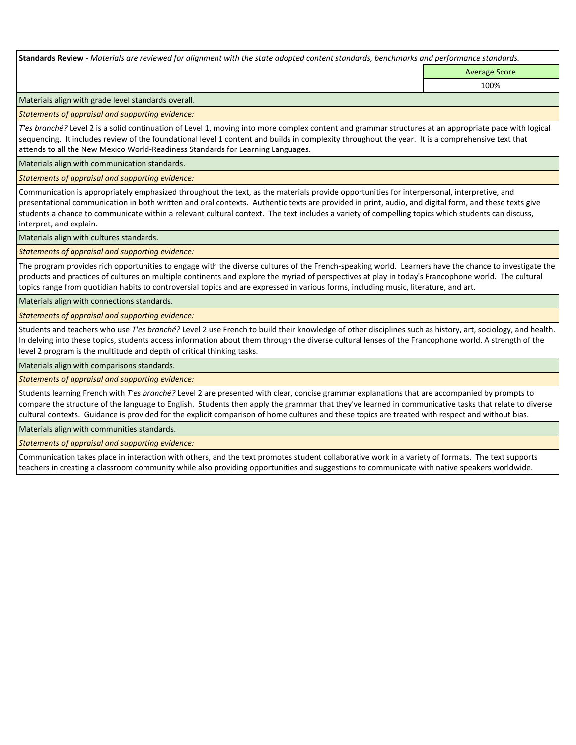**Standards Review** *- Materials are reviewed for alignment with the state adopted content standards, benchmarks and performance standards.*

Average Score 100%

Materials align with grade level standards overall.

*Statements of appraisal and supporting evidence:* 

*T'es branché?* Level 2 is a solid continuation of Level 1, moving into more complex content and grammar structures at an appropriate pace with logical sequencing. It includes review of the foundational level 1 content and builds in complexity throughout the year. It is a comprehensive text that attends to all the New Mexico World-Readiness Standards for Learning Languages.

Materials align with communication standards.

*Statements of appraisal and supporting evidence:* 

Communication is appropriately emphasized throughout the text, as the materials provide opportunities for interpersonal, interpretive, and presentational communication in both written and oral contexts. Authentic texts are provided in print, audio, and digital form, and these texts give students a chance to communicate within a relevant cultural context. The text includes a variety of compelling topics which students can discuss, interpret, and explain.

Materials align with cultures standards.

*Statements of appraisal and supporting evidence:* 

The program provides rich opportunities to engage with the diverse cultures of the French-speaking world. Learners have the chance to investigate the products and practices of cultures on multiple continents and explore the myriad of perspectives at play in today's Francophone world. The cultural topics range from quotidian habits to controversial topics and are expressed in various forms, including music, literature, and art.

Materials align with connections standards.

*Statements of appraisal and supporting evidence:* 

Students and teachers who use *T'es branché?* Level 2 use French to build their knowledge of other disciplines such as history, art, sociology, and health. In delving into these topics, students access information about them through the diverse cultural lenses of the Francophone world. A strength of the level 2 program is the multitude and depth of critical thinking tasks.

Materials align with comparisons standards.

*Statements of appraisal and supporting evidence:* 

Students learning French with *T'es branché?* Level 2 are presented with clear, concise grammar explanations that are accompanied by prompts to compare the structure of the language to English. Students then apply the grammar that they've learned in communicative tasks that relate to diverse cultural contexts. Guidance is provided for the explicit comparison of home cultures and these topics are treated with respect and without bias.

Materials align with communities standards.

*Statements of appraisal and supporting evidence:* 

Communication takes place in interaction with others, and the text promotes student collaborative work in a variety of formats. The text supports teachers in creating a classroom community while also providing opportunities and suggestions to communicate with native speakers worldwide.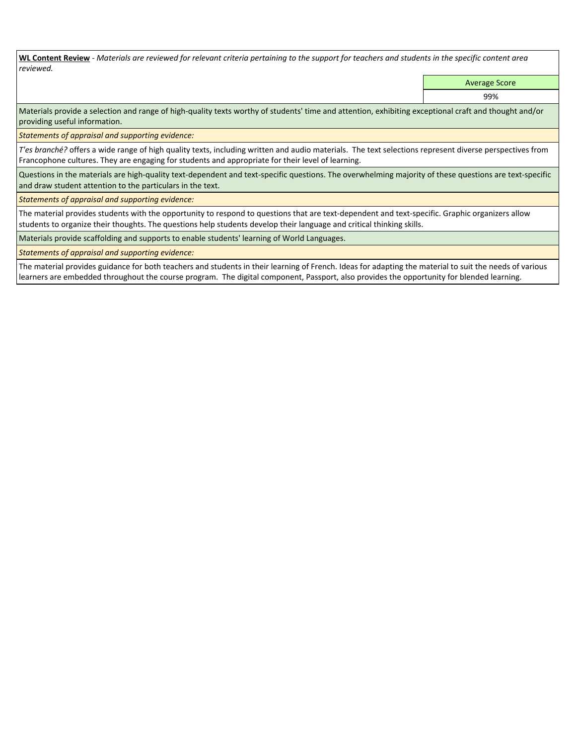**WL Content Review** *- Materials are reviewed for relevant criteria pertaining to the support for teachers and students in the specific content area reviewed.*

Average Score

99%

Materials provide a selection and range of high-quality texts worthy of students' time and attention, exhibiting exceptional craft and thought and/or providing useful information.

*Statements of appraisal and supporting evidence:* 

*T'es branché?* offers a wide range of high quality texts, including written and audio materials. The text selections represent diverse perspectives from Francophone cultures. They are engaging for students and appropriate for their level of learning.

Questions in the materials are high-quality text-dependent and text-specific questions. The overwhelming majority of these questions are text-specific and draw student attention to the particulars in the text.

*Statements of appraisal and supporting evidence:* 

The material provides students with the opportunity to respond to questions that are text-dependent and text-specific. Graphic organizers allow students to organize their thoughts. The questions help students develop their language and critical thinking skills.

Materials provide scaffolding and supports to enable students' learning of World Languages.

*Statements of appraisal and supporting evidence:* 

The material provides guidance for both teachers and students in their learning of French. Ideas for adapting the material to suit the needs of various learners are embedded throughout the course program. The digital component, Passport, also provides the opportunity for blended learning.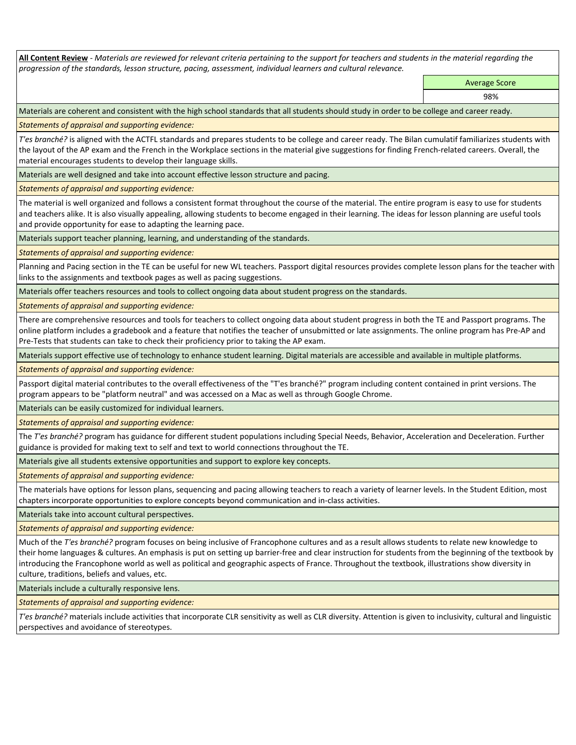**All Content Review** *- Materials are reviewed for relevant criteria pertaining to the support for teachers and students in the material regarding the progression of the standards, lesson structure, pacing, assessment, individual learners and cultural relevance.*

Average Score

98%

Materials are coherent and consistent with the high school standards that all students should study in order to be college and career ready.

*Statements of appraisal and supporting evidence:*

*T'es branché?* is aligned with the ACTFL standards and prepares students to be college and career ready. The Bilan cumulatif familiarizes students with the layout of the AP exam and the French in the Workplace sections in the material give suggestions for finding French-related careers. Overall, the material encourages students to develop their language skills.

Materials are well designed and take into account effective lesson structure and pacing.

*Statements of appraisal and supporting evidence:*

The material is well organized and follows a consistent format throughout the course of the material. The entire program is easy to use for students and teachers alike. It is also visually appealing, allowing students to become engaged in their learning. The ideas for lesson planning are useful tools and provide opportunity for ease to adapting the learning pace.

Materials support teacher planning, learning, and understanding of the standards.

*Statements of appraisal and supporting evidence:*

Planning and Pacing section in the TE can be useful for new WL teachers. Passport digital resources provides complete lesson plans for the teacher with links to the assignments and textbook pages as well as pacing suggestions.

Materials offer teachers resources and tools to collect ongoing data about student progress on the standards.

*Statements of appraisal and supporting evidence:*

There are comprehensive resources and tools for teachers to collect ongoing data about student progress in both the TE and Passport programs. The online platform includes a gradebook and a feature that notifies the teacher of unsubmitted or late assignments. The online program has Pre-AP and Pre-Tests that students can take to check their proficiency prior to taking the AP exam.

Materials support effective use of technology to enhance student learning. Digital materials are accessible and available in multiple platforms.

*Statements of appraisal and supporting evidence:*

Passport digital material contributes to the overall effectiveness of the "T'es branché?" program including content contained in print versions. The program appears to be "platform neutral" and was accessed on a Mac as well as through Google Chrome.

Materials can be easily customized for individual learners.

*Statements of appraisal and supporting evidence:* 

The *T'es branché?* program has guidance for different student populations including Special Needs, Behavior, Acceleration and Deceleration. Further guidance is provided for making text to self and text to world connections throughout the TE.

Materials give all students extensive opportunities and support to explore key concepts.

*Statements of appraisal and supporting evidence:*

The materials have options for lesson plans, sequencing and pacing allowing teachers to reach a variety of learner levels. In the Student Edition, most chapters incorporate opportunities to explore concepts beyond communication and in-class activities.

Materials take into account cultural perspectives.

*Statements of appraisal and supporting evidence:*

Much of the *T'es branché?* program focuses on being inclusive of Francophone cultures and as a result allows students to relate new knowledge to their home languages & cultures. An emphasis is put on setting up barrier-free and clear instruction for students from the beginning of the textbook by introducing the Francophone world as well as political and geographic aspects of France. Throughout the textbook, illustrations show diversity in culture, traditions, beliefs and values, etc.

Materials include a culturally responsive lens.

*Statements of appraisal and supporting evidence:*

*T'es branché?* materials include activities that incorporate CLR sensitivity as well as CLR diversity. Attention is given to inclusivity, cultural and linguistic perspectives and avoidance of stereotypes.